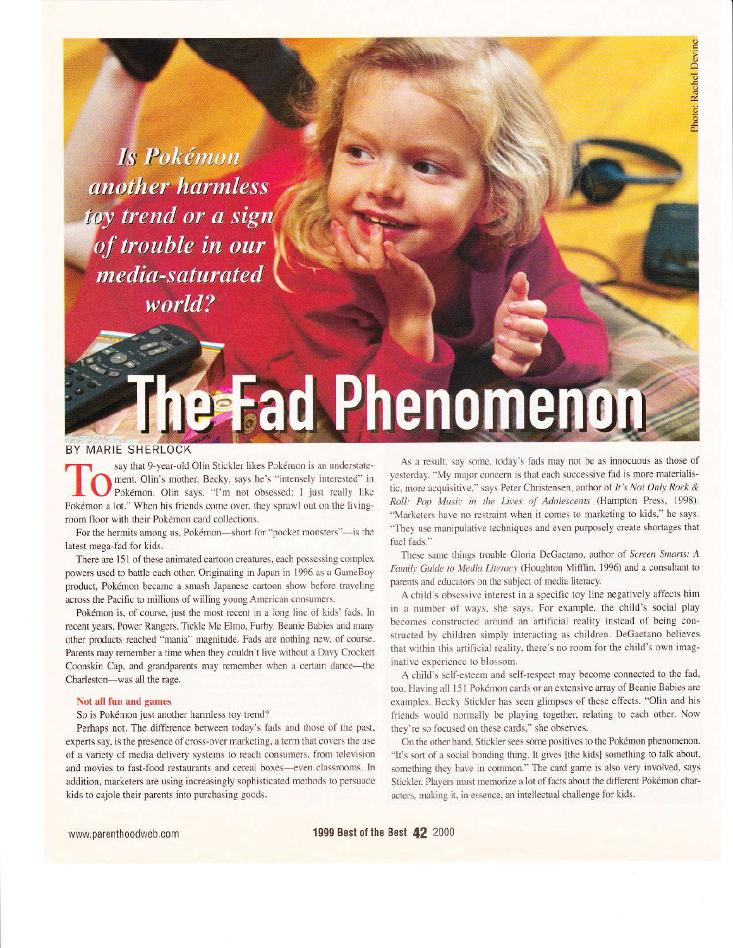Is Pokémon another harmless toy trend or a sign of trouble in our media-saturated world?

# **he Fad Phenomenon**

# BY MARIE SHERLOCK

say that 9-year-old Olin Stickler likes Pokémon is an understatement. Olin's mother, Becky, says he's "intensely interested" in Pokémon. Olin says, "I'm not obsessed; I just really like Pokémon a lot." When his friends come over, they sprawl out on the livingroom floor with their Pokémon card collections.

For the hermits among us, Pokémon-short for "pocket monsters"-is the latest mega-fad for kids.

There are 151 of these animated cartoon creatures, each possessing complex powers used to battle each other. Originating in Japan in 1996 as a GameBoy product, Pokémon became a smash Japanese cartoon show before traveling across the Pacific to millions of willing young American consumers.

Pokémon is, of course, just the most recent in a long line of kids' fads. In recent years, Power Rangers, Tickle Me Elmo, Furby, Beanie Babies and many other products reached "mania" magnitude. Fads are nothing new, of course. Parents may remember a time when they couldn't live without a Davy Crockett Coonskin Cap, and grandparents may remember when a certain dance-the Charleston-was all the rage.

## Not all fun and games

So is Pokémon just another harmless toy trend?

Perhaps not. The difference between today's fads and those of the past, experts say, is the presence of cross-over marketing, a term that covers the use of a variety of media delivery systems to reach consumers, from television and movies to fast-food restaurants and cereal boxes-even classrooms. In addition, marketers are using increasingly sophisticated methods to persuade kids to cajole their parents into purchasing goods.

As a result, say some, today's fads may not be as innocuous as those of yesterday. "My major concern is that each successive fad is more materialistic, more acquisitive," says Peter Christensen, author of It's Not Only Rock & Roll: Pop Music in the Lives of Adolescents (Hampton Press, 1998). "Marketers have no restraint when it comes to marketing to kids," he says. "They use manipulative techniques and even purposely create shortages that fuel fads."

These same things trouble Gloria DeGaetano, author of Screen Smarts: A Family Guide to Media Literacy (Houghton Mifflin, 1996) and a consultant to parents and educators on the subject of media literacy.

A child's obsessive interest in a specific toy line negatively affects him in a number of ways, she says. For example, the child's social play becomes constructed around an artificial reality instead of being constructed by children simply interacting as children. DeGaetano believes that within this artificial reality, there's no room for the child's own imaginative experience to blossom.

A child's self-esteem and self-respect may become connected to the fad, too. Having all 151 Pokémon cards or an extensive array of Beanie Babies are examples. Becky Stickler has seen glimpses of these effects. "Olin and his friends would normally be playing together, relating to each other. Now they're so focused on these cards," she observes.

On the other hand, Stickler sees some positives to the Pokémon phenomenon. "It's sort of a social bonding thing. It gives [the kids] something to talk about, something they have in common." The card game is also very involved, says Stickler. Players must memorize a lot of facts about the different Pokémon characters, making it, in essence, an intellectual challenge for kids.

1999 Best of the Best 42 2000